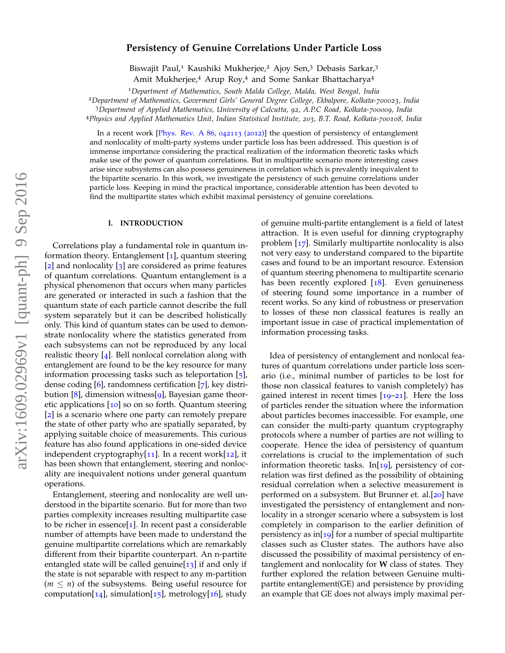# **Persistency of Genuine Correlations Under Particle Loss**

Biswajit Paul,<sup>1</sup> Kaushiki Mukherjee,<sup>2</sup> Ajoy Sen,<sup>3</sup> Debasis Sarkar,<sup>3</sup>

Amit Mukherjee,<sup>4</sup> Arup Roy,<sup>4</sup> and Some Sankar Bhattacharya<sup>4</sup>

<sup>1</sup>*Department of Mathematics, South Malda College, Malda, West Bengal, India*

<sup>2</sup>*Department of Mathematics, Goverment Girls' General Degree College, Ekbalpore, Kolkata-700023, India*

<sup>3</sup>*Department of Applied Mathematics, University of Calcutta, 92, A.P.C Road, Kolkata-700009, India*

<sup>4</sup>*Physics and Applied Mathematics Unit, Indian Statistical Institute, 203, B.T. Road, Kolkata-700108, India*

In a recent work [Phys. Rev. A 86, 042113 (2012)] the question of persistency of entanglement and nonlocality of multi-party systems under particle loss has been addressed. This question is of immense importance considering the practical realization of the information theoretic tasks which make use of the power of quantum correlations. But in multipartite scenario more interesting cases arise since subsystems can also possess genuineness in correlation which is prevalently inequivalent to the bipartite scenario. In this work, we investigate the persistency of such genuine correlations under particle loss. Keeping in mind the practical importance, considerable attention has been devoted to find the multipartite states which exhibit maximal persistency of genuine correlations.

# **I. INTRODUCTION**

Correlations play a fundamental role in quantum information theory. Entanglement  $\left[1\right]$ , quantum steering [2] and nonlocality [3] are considered as prime features of quantum correlations. Quantum entanglement is a physical phenomenon that occurs when many particles are generated or interacted in such a fashion that the quantum state of each particle cannot describe the full system separately but it can be described holistically only. This kind of quantum states can be used to demonstrate nonlocality where the statistics generated from each subsystems can not be reproduced by any local realistic theory [4]. Bell nonlocal correlation along with entanglement are found to be the key resource for many information processing tasks such as teleportation  $\lceil 5 \rceil$ , dense coding [6], randomness certification [7], key distribution  $[8]$ , dimension witness $[9]$ , Bayesian game theoretic applications [10] so on so forth. Quantum steering [2] is a scenario where one party can remotely prepare the state of other party who are spatially separated, by applying suitable choice of measurements. This curious feature has also found applications in one-sided device independent cryptography[11]. In a recent work[12], it has been shown that entanglement, steering and nonlocality are inequivalent notions under general quantum operations.

Entanglement, steering and nonlocality are well understood in the bipartite scenario. But for more than two parties complexity increases resulting multipartite case to be richer in essence[1]. In recent past a considerable number of attempts have been made to understand the genuine multipartite correlations which are remarkably different from their bipartite counterpart. An n-partite entangled state will be called genuine $[13]$  if and only if the state is not separable with respect to any m-partition  $(m \leq n)$  of the subsystems. Being useful resource for computation[ $14$ ], simulation[ $15$ ], metrology[ $16$ ], study of genuine multi-partite entanglement is a field of latest attraction. It is even useful for dinning cryptography problem [17]. Similarly multipartite nonlocality is also not very easy to understand compared to the bipartite cases and found to be an important resource. Extension of quantum steering phenomena to multipartite scenario has been recently explored  $[18]$ . Even genuineness of steering found some importance in a number of recent works. So any kind of robustness or preservation to losses of these non classical features is really an important issue in case of practical implementation of information processing tasks.

Idea of persistency of entanglement and nonlocal features of quantum correlations under particle loss scenario (i.e., minimal number of particles to be lost for those non classical features to vanish completely) has gained interest in recent times  $[19-21]$ . Here the loss of particles render the situation where the information about particles becomes inaccessible. For example, one can consider the multi-party quantum cryptography protocols where a number of parties are not willing to cooperate. Hence the idea of persistency of quantum correlations is crucial to the implementation of such information theoretic tasks. In[ $19$ ], persistency of correlation was first defined as the possibility of obtaining residual correlation when a selective measurement is performed on a subsystem. But Brunner et. al.[20] have investigated the persistency of entanglement and nonlocality in a stronger scenario where a subsystem is lost completely in comparison to the earlier definition of persistency as in[ $19$ ] for a number of special multipartite classes such as Cluster states. The authors have also discussed the possibility of maximal persistency of entanglement and nonlocality for **W** class of states. They further explored the relation between Genuine multipartite entanglement(GE) and persistence by providing an example that GE does not always imply maximal per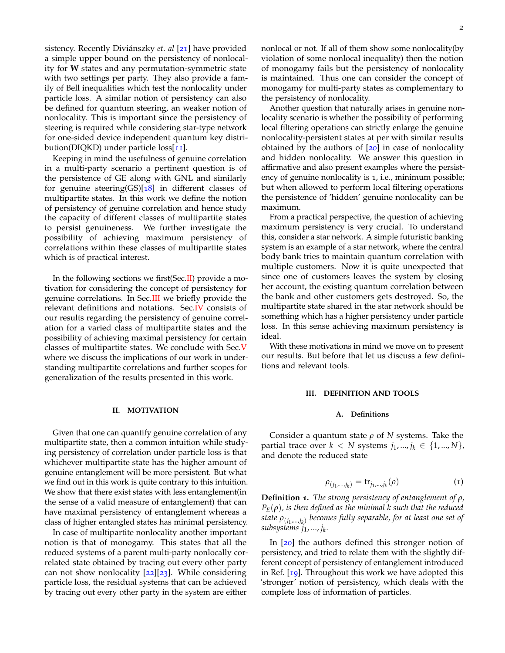sistency. Recently Diviánszky *et. al* [21] have provided a simple upper bound on the persistency of nonlocality for **W** states and any permutation-symmetric state with two settings per party. They also provide a family of Bell inequalities which test the nonlocality under particle loss. A similar notion of persistency can also be defined for quantum steering, an weaker notion of nonlocality. This is important since the persistency of steering is required while considering star-type network for one-sided device independent quantum key distribution(DIQKD) under particle loss[11].

Keeping in mind the usefulness of genuine correlation in a multi-party scenario a pertinent question is of the persistence of GE along with GNL and similarly for genuine steering(GS)[ $18$ ] in different classes of multipartite states. In this work we define the notion of persistency of genuine correlation and hence study the capacity of different classes of multipartite states to persist genuineness. We further investigate the possibility of achieving maximum persistency of correlations within these classes of multipartite states which is of practical interest.

In the following sections we first(Sec.II) provide a motivation for considering the concept of persistency for genuine correlations. In Sec.III we briefly provide the relevant definitions and notations. Sec.IV consists of our results regarding the persistency of genuine correlation for a varied class of multipartite states and the possibility of achieving maximal persistency for certain classes of multipartite states. We conclude with Sec.V where we discuss the implications of our work in understanding multipartite correlations and further scopes for generalization of the results presented in this work.

## **II. MOTIVATION**

Given that one can quantify genuine correlation of any multipartite state, then a common intuition while studying persistency of correlation under particle loss is that whichever multipartite state has the higher amount of genuine entanglement will be more persistent. But what we find out in this work is quite contrary to this intuition. We show that there exist states with less entanglement(in the sense of a valid measure of entanglement) that can have maximal persistency of entanglement whereas a class of higher entangled states has minimal persistency.

In case of multipartite nonlocality another important notion is that of monogamy. This states that all the reduced systems of a parent multi-party nonlocally correlated state obtained by tracing out every other party can not show nonlocality [22][23]. While considering particle loss, the residual systems that can be achieved by tracing out every other party in the system are either

nonlocal or not. If all of them show some nonlocality(by violation of some nonlocal inequality) then the notion of monogamy fails but the persistency of nonlocality is maintained. Thus one can consider the concept of monogamy for multi-party states as complementary to the persistency of nonlocality.

Another question that naturally arises in genuine nonlocality scenario is whether the possibility of performing local filtering operations can strictly enlarge the genuine nonlocality-persistent states at per with similar results obtained by the authors of  $[20]$  in case of nonlocality and hidden nonlocality. We answer this question in affirmative and also present examples where the persistency of genuine nonlocality is 1, i.e., minimum possible; but when allowed to perform local filtering operations the persistence of 'hidden' genuine nonlocality can be maximum.

From a practical perspective, the question of achieving maximum persistency is very crucial. To understand this, consider a star network. A simple futuristic banking system is an example of a star network, where the central body bank tries to maintain quantum correlation with multiple customers. Now it is quite unexpected that since one of customers leaves the system by closing her account, the existing quantum correlation between the bank and other customers gets destroyed. So, the multipartite state shared in the star network should be something which has a higher persistency under particle loss. In this sense achieving maximum persistency is ideal.

With these motivations in mind we move on to present our results. But before that let us discuss a few definitions and relevant tools.

## **III. DEFINITION AND TOOLS**

## **A. Definitions**

Consider a quantum state *ρ* of *N* systems. Take the partial trace over *k* < *N* systems  $j_1, ..., j_k \in \{1, ..., N\}$ , and denote the reduced state

$$
\rho_{(j_1,\ldots,j_k)} = \operatorname{tr}_{j_1,\ldots,j_k}(\rho) \tag{1}
$$

**Definition 1.** *The strong persistency of entanglement of ρ,*  $P_{E}(\rho)$ , *is then defined as the minimal k such that the reduced state ρ*(*j*<sup>1</sup> ,...,*j<sup>k</sup>* ) *becomes fully separable, for at least one set of subsystems j*1, ..., *j<sup>k</sup> .*

In [20] the authors defined this stronger notion of persistency, and tried to relate them with the slightly different concept of persistency of entanglement introduced in Ref. [19]. Throughout this work we have adopted this 'stronger' notion of persistency, which deals with the complete loss of information of particles.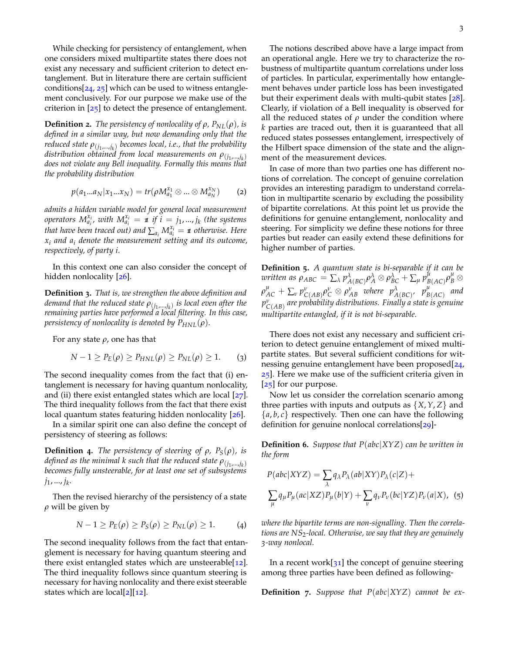While checking for persistency of entanglement, when one considers mixed multipartite states there does not exist any necessary and sufficient criterion to detect entanglement. But in literature there are certain sufficient conditions $[24, 25]$  which can be used to witness entanglement conclusively. For our purpose we make use of the criterion in  $[25]$  to detect the presence of entanglement.

**Definition 2.** *The persistency of nonlocality of*  $\rho$ *,*  $P_{NL}(\rho)$ *, is defined in a similar way, but now demanding only that the reduced state ρ*(*j*<sup>1</sup> ,...,*j<sup>k</sup>* ) *becomes local, i.e., that the probability distribution obtained from local measurements on ρ*(*j*<sup>1</sup> ,...,*j<sup>k</sup>* ) *does not violate any Bell inequality. Formally this means that the probability distribution*

$$
p(a_1...a_N|x_1...x_N) = tr(\rho M_{a_1}^{x_1} \otimes ... \otimes M_{a_N}^{x_N})
$$
 (2)

*admits a hidden variable model for general local measurement operators*  $M_{a_i}^{x_i}$ , with  $M_{a_i}^{x_i} = \mathbf{1}$  if  $i = j_1, ..., j_k$  (the systems *that have been traced out) and*  $\sum_{a_i} M_{a_i}^{x_i} = \textbf{\textit{1}}$  *<i>otherwise. Here x<sup>i</sup> and a<sup>i</sup> denote the measurement setting and its outcome, respectively, of party i.*

In this context one can also consider the concept of hidden nonlocality [26].

**Definition 3.** *That is, we strengthen the above definition and demand that the reduced state ρ*(*j*<sup>1</sup> ,...,*j<sup>k</sup>* ) *is local even after the remaining parties have performed a local filtering. In this case, persistency of nonlocality is denoted by*  $P_{HNL}(\rho)$ *.* 

For any state *ρ*, one has that

$$
N-1 \ge P_E(\rho) \ge P_{HNL}(\rho) \ge P_{NL}(\rho) \ge 1. \tag{3}
$$

The second inequality comes from the fact that (i) entanglement is necessary for having quantum nonlocality, and (ii) there exist entangled states which are local  $[27]$ . The third inequality follows from the fact that there exist local quantum states featuring hidden nonlocality [26].

In a similar spirit one can also define the concept of persistency of steering as follows:

**Definition 4.** *The persistency of steering of*  $\rho$ *,*  $P_S(\rho)$ *, is defined as the minimal k such that the reduced state ρ*(*j*<sup>1</sup> ,...,*j<sup>k</sup>* ) *becomes fully unsteerable, for at least one set of subsystems j*1, ..., *j<sup>k</sup> .*

Then the revised hierarchy of the persistency of a state *ρ* will be given by

$$
N-1 \ge P_E(\rho) \ge P_S(\rho) \ge P_{NL}(\rho) \ge 1. \tag{4}
$$

The second inequality follows from the fact that entanglement is necessary for having quantum steering and there exist entangled states which are unsteerable $[12]$ . The third inequality follows since quantum steering is necessary for having nonlocality and there exist steerable states which are local[ $2$ ][ $12$ ].

The notions described above have a large impact from an operational angle. Here we try to characterize the robustness of multipartite quantum correlations under loss of particles. In particular, experimentally how entanglement behaves under particle loss has been investigated but their experiment deals with multi-qubit states [28]. Clearly, if violation of a Bell inequality is observed for all the reduced states of  $\rho$  under the condition where *k* parties are traced out, then it is guaranteed that all reduced states possesses entanglement, irrespectively of the Hilbert space dimension of the state and the alignment of the measurement devices.

In case of more than two parties one has different notions of correlation. The concept of genuine correlation provides an interesting paradigm to understand correlation in multipartite scenario by excluding the possibility of bipartite correlations. At this point let us provide the definitions for genuine entanglement, nonlocality and steering. For simplicity we define these notions for three parties but reader can easily extend these definitions for higher number of parties.

**Definition 5.** *A quantum state is bi-separable if it can be written as*  $\rho_{ABC} = \sum_{\lambda} p_{A(BC)}^{\lambda} \rho_A^{\lambda} \otimes \rho_{BC}^{\lambda} + \sum_{\mu} p_B^{\mu}$  $\mu_{B(AC)}^{\mu} \rho_{B}^{\mu} \otimes$  $\rho^{\mu}_{AC} + \sum_{\nu} p^{\nu}_{C(AB)} \rho^{\nu}_{C} \otimes \rho^{\nu}_{AB}$  where  $p^{\lambda}_{A(BC)}$ ,  $p^{\mu}_{B}$ *B*(*AC*) *and p ν C*(*AB*) *are probability distributions. Finally a state is genuine multipartite entangled, if it is not bi-separable.*

There does not exist any necessary and sufficient criterion to detect genuine entanglement of mixed multipartite states. But several sufficient conditions for witnessing genuine entanglement have been proposed[24, 25]. Here we make use of the sufficient criteria given in [25] for our purpose.

Now let us consider the correlation scenario among three parties with inputs and outputs as  $\{X, Y, Z\}$  and  $\{a, b, c\}$  respectively. Then one can have the following definition for genuine nonlocal correlations[29]-

**Definition 6.** *Suppose that P*(*abc*|*XYZ*) *can be written in the form*

$$
P(abc|XYZ) = \sum_{\lambda} q_{\lambda} P_{\lambda}(ab|XY) P_{\lambda}(c|Z) +
$$
  

$$
\sum_{\mu} q_{\mu} P_{\mu}(ac|XZ) P_{\mu}(b|Y) + \sum_{\nu} q_{\nu} P_{\nu}(bc|YZ) P_{\nu}(a|X),
$$
 (5)

*where the bipartite terms are non-signalling. Then the correlations are NS*2*-local. Otherwise, we say that they are genuinely 3-way nonlocal.*

In a recent work[ $31$ ] the concept of genuine steering among three parties have been defined as following-

**Definition 7.** *Suppose that P*(*abc*|*XYZ*) *cannot be ex-*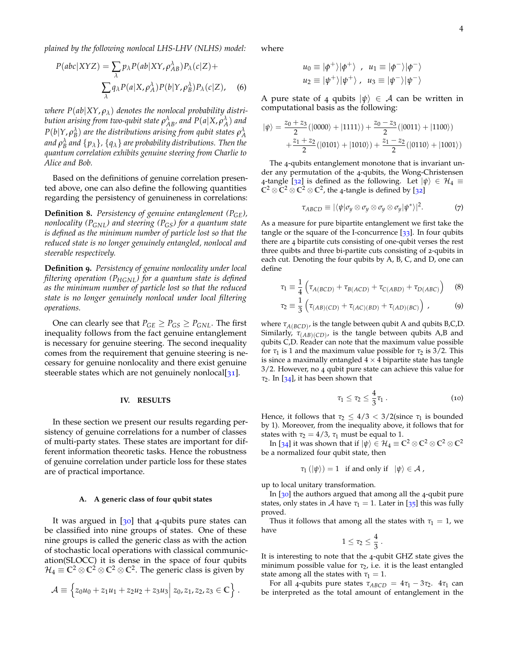*plained by the following nonlocal LHS-LHV (NLHS) model:*

$$
P(abc|XYZ) = \sum_{\lambda} p_{\lambda} P(ab|XY, \rho_{AB}^{\lambda}) P_{\lambda}(c|Z) +
$$

$$
\sum_{\lambda} q_{\lambda} P(a|X, \rho_{A}^{\lambda}) P(b|Y, \rho_{B}^{\lambda}) P_{\lambda}(c|Z), \quad (6)
$$

*where*  $P(ab|XY, \rho_\lambda)$  *denotes the nonlocal probability distribution arising from two-qubit state*  $\rho_{AB}^{\lambda}$ *, and*  $P(a|X,\rho_{A}^{\lambda})$  *and*  $P(b|Y,\rho_{B}^{\lambda})$  are the distributions arising from qubit states  $\rho_{A}^{\lambda}$ and  $\rho_B^{\lambda}$  and  $\{p_{\lambda}\}$ ,  $\{q_{\lambda}\}$  are probability distributions. Then the *quantum correlation exhibits genuine steering from Charlie to Alice and Bob.*

Based on the definitions of genuine correlation presented above, one can also define the following quantities regarding the persistency of genuineness in correlations:

**Definition 8.** *Persistency of genuine entanglement (PGE), nonlocality (PGNL) and steering (PGS) for a quantum state is defined as the minimum number of particle lost so that the reduced state is no longer genuinely entangled, nonlocal and steerable respectively.*

**Definition 9.** *Persistency of genuine nonlocality under local filtering operation (PHGNL) for a quantum state is defined as the minimum number of particle lost so that the reduced state is no longer genuinely nonlocal under local filtering operations.*

One can clearly see that  $P_{GE} \geq P_{GS} \geq P_{GNL}$ . The first inequality follows from the fact genuine entanglement is necessary for genuine steering. The second inequality comes from the requirement that genuine steering is necessary for genuine nonlocality and there exist genuine steerable states which are not genuinely nonlocal[31].

## **IV. RESULTS**

In these section we present our results regarding persistency of genuine correlations for a number of classes of multi-party states. These states are important for different information theoretic tasks. Hence the robustness of genuine correlation under particle loss for these states are of practical importance.

## **A. A generic class of four qubit states**

It was argued in  $[30]$  that 4-qubits pure states can be classified into nine groups of states. One of these nine groups is called the generic class as with the action of stochastic local operations with classical communication(SLOCC) it is dense in the space of four qubits  $\mathcal{H}_4 \equiv \mathbb{C}^2 \otimes \mathbb{C}^2 \otimes \mathbb{C}^2 \otimes \mathbb{C}^2$ . The generic class is given by

$$
\mathcal{A} \equiv \left\{ z_0 u_0 + z_1 u_1 + z_2 u_2 + z_3 u_3 \middle| z_0, z_1, z_2, z_3 \in \mathbb{C} \right\}.
$$

where

$$
u_0 \equiv |\phi^+\rangle|\phi^+\rangle
$$
,  $u_1 \equiv |\phi^-\rangle|\phi^-\rangle$   
\n $u_2 \equiv |\psi^+\rangle|\psi^+\rangle$ ,  $u_3 \equiv |\psi^-\rangle|\psi^-\rangle$ 

A pure state of 4 qubits  $|\psi\rangle \in A$  can be written in computational basis as the following:

$$
|\psi\rangle = \frac{z_0 + z_3}{2} (|0000\rangle + |1111\rangle) + \frac{z_0 - z_3}{2} (|0011\rangle + |1100\rangle) + \frac{z_1 + z_2}{2} (|0101\rangle + |1010\rangle) + \frac{z_1 - z_2}{2} (|0110\rangle + |1001\rangle)
$$

The 4-qubits entanglement monotone that is invariant under any permutation of the 4-qubits, the Wong-Christensen 4-tangle [32] is defined as the following. Let  $|\psi\rangle \in \mathcal{H}_4 \equiv$  $\mathbb{C}^2 \otimes \mathbb{C}^2 \otimes \mathbb{C}^2 \otimes \mathbb{C}^2$ , the 4-tangle is defined by [32]

$$
\tau_{ABCD} \equiv |\langle \psi | \sigma_y \otimes \sigma_y \otimes \sigma_y \otimes \sigma_y | \psi^* \rangle|^2. \tag{7}
$$

As a measure for pure bipartite entanglement we first take the tangle or the square of the I-concurrence  $\lceil 33 \rceil$ . In four qubits there are 4 bipartite cuts consisting of one-qubit verses the rest three quibts and three bi-partite cuts consisting of 2-qubits in each cut. Denoting the four qubits by A, B, C, and D, one can define

$$
\tau_1 \equiv \frac{1}{4} \left( \tau_{A(BCD)} + \tau_{B(ACD)} + \tau_{C(ABD)} + \tau_{D(ABC)} \right) \tag{8}
$$

$$
\tau_2 \equiv \frac{1}{3} \left( \tau_{(AB)(CD)} + \tau_{(AC)(BD)} + \tau_{(AD)(BC)} \right) \,, \tag{9}
$$

where *τA*(*BCD*) , is the tangle between qubit A and qubits B,C,D. Similarly,  $\tau_{(AB)(CD)}$ , is the tangle between qubits A,B and qubits C,D. Reader can note that the maximum value possible for  $\tau_1$  is 1 and the maximum value possible for  $\tau_2$  is 3/2. This is since a maximally entangled  $4 \times 4$  bipartite state has tangle 3/2. However, no 4 qubit pure state can achieve this value for *τ*2. In [34], it has been shown that

$$
\tau_1 \leq \tau_2 \leq \frac{4}{3}\tau_1\ . \hspace{1.5cm} (10)
$$

Hence, it follows that  $\tau_2 \leq 4/3 < 3/2$  (since  $\tau_1$  is bounded by 1). Moreover, from the inequality above, it follows that for states with  $\tau_2 = 4/3$ ,  $\tau_1$  must be equal to 1.

In [34] it was shown that if  $|\psi\rangle \in \mathcal{H}_4 \equiv \mathbb{C}^2 \otimes \mathbb{C}^2 \otimes \mathbb{C}^2 \otimes \mathbb{C}^2$ be a normalized four qubit state, then

$$
\tau_1(|\psi\rangle) = 1 \quad \text{if and only if} \quad |\psi\rangle \in \mathcal{A} \ ,
$$

up to local unitary transformation.

In [30] the authors argued that among all the 4-qubit pure states, only states in A have  $\tau_1 = 1$ . Later in [35] this was fully proved.

Thus it follows that among all the states with  $\tau_1 = 1$ , we have

$$
1\leq \tau_2\leq \frac{4}{3}
$$

.

It is interesting to note that the 4-qubit GHZ state gives the minimum possible value for  $\tau_2$ , i.e. it is the least entangled state among all the states with  $\tau_1 = 1$ .

For all 4-qubits pure states  $\tau_{ABCD} = 4\tau_1 - 3\tau_2$ .  $4\tau_1$  can be interpreted as the total amount of entanglement in the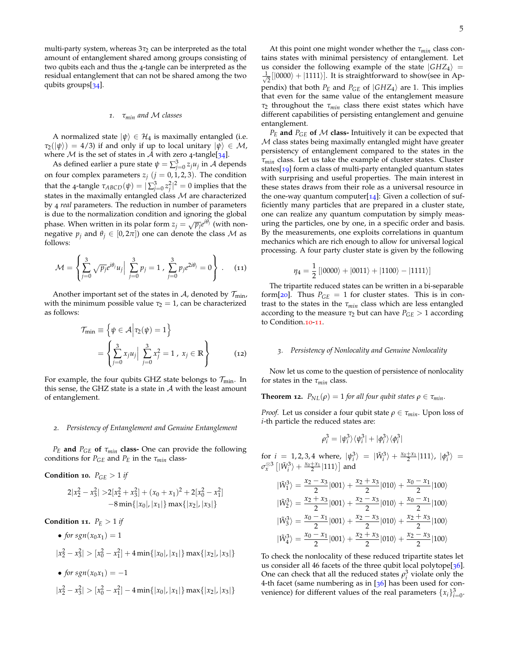multi-party system, whereas  $3\tau_2$  can be interpreted as the total amount of entanglement shared among groups consisting of two qubits each and thus the 4-tangle can be interpreted as the residual entanglement that can not be shared among the two qubits groups[34].

# *1. τmin and* M *classes*

A normalized state  $|\psi\rangle \in \mathcal{H}_4$  is maximally entangled (i.e.  $\tau_2(\ket{\psi}) = 4/3$  if and only if up to local unitary  $\ket{\psi} \in \mathcal{M}$ , where  $M$  is the set of states in  $A$  with zero 4-tangle[34].

As defined earlier a pure state  $\psi = \sum_{j=0}^{3} z_j u_j$  in A depends on four complex parameters  $z_j$   $(j = 0, 1, 2, 3)$ . The condition that the 4-tangle  $τ_{ABCD}(ψ) = | \sum_{j=0}^{3} z_j^2 |^2 = 0$  implies that the states in the maximally entangled class  $M$  are characterized by 4 *real* parameters. The reduction in number of parameters is due to the normalization condition and ignoring the global phase. When written in its polar form  $z_j = \sqrt{p_j}e^{i\theta_j}$  (with nonnegative  $p_j$  and  $\theta_j \in [0, 2\pi]$ ) one can denote the class M as follows:

$$
\mathcal{M} = \left\{ \sum_{j=0}^{3} \sqrt{p_j} e^{i\theta_j} u_j \Big| \sum_{j=0}^{3} p_j = 1 , \sum_{j=0}^{3} p_j e^{2i\theta_j} = 0 \right\} .
$$
 (11)

Another important set of the states in A, denoted by  $\mathcal{T}_{\text{min}}$ , with the minimum possible value  $\tau_2 = 1$ , can be characterized as follows:

$$
\mathcal{T}_{\min} \equiv \left\{ \psi \in \mathcal{A} \middle| \tau_2(\psi) = 1 \right\}
$$

$$
= \left\{ \sum_{j=0}^3 x_j u_j \middle| \sum_{j=0}^3 x_j^2 = 1, x_j \in \mathbb{R} \right\}
$$
(12)

For example, the four qubits GHZ state belongs to  $\mathcal{T}_{\text{min}}$ . In this sense, the GHZ state is a state in  $A$  with the least amount of entanglement.

## *2. Persistency of Entanglement and Genuine Entanglement*

*P<sup>E</sup>* **and** *PGE* **of** *τmin* **class-** One can provide the following conditions for  $P_{GE}$  and  $P_E$  in the  $\tau_{min}$  class-

# **Condition 10.**  $P_{GE} > 1$  *if*

$$
2|x_2^2 - x_3^2| > 2[x_2^2 + x_3^2] + (x_0 + x_1)^2 + 2[x_0^2 - x_1^2] - 8 \min\{|x_0|, |x_1|\} \max\{|x_2|, |x_3|\}
$$

Condition 11. 
$$
P_E > 1
$$
 if

• for 
$$
sgn(x_0x_1) = 1
$$
  
\n $|x_2^2 - x_3^2| > [x_0^2 - x_1^2] + 4\min\{|x_0|, |x_1|\}\max\{|x_2|, |x_3|\}$ 

• for 
$$
sgn(x_0x_1) = -1
$$
  
\n $|x_2^2 - x_3^2| > [x_0^2 - x_1^2] - 4\min\{|x_0|, |x_1|\}\max\{|x_2|, |x_3|\}$ 

At this point one might wonder whether the *τmin* class contains states with minimal persistency of entanglement. Let us consider the following example of the state  $|GHZ_4\rangle$  =  $\frac{1}{\sqrt{2}}$  $\frac{1}{2}[\ket{0000}+\ket{1111}]$ . It is straightforward to show(see in Appendix) that both  $P_E$  and  $P_{GE}$  of  $|GHZ_4\rangle$  are 1. This implies that even for the same value of the entanglement measure *τ*<sup>2</sup> throughout the *τmin* class there exist states which have different capabilities of persisting entanglement and genuine entanglement.

 $P_E$  and  $P_{GE}$  of M class-Intuitively it can be expected that M class states being maximally entangled might have greater persistency of entanglement compared to the states in the *τmin* class. Let us take the example of cluster states. Cluster states[19] form a class of multi-party entangled quantum states with surprising and useful properties. The main interest in these states draws from their role as a universal resource in the one-way quantum computer $[14]$ : Given a collection of sufficiently many particles that are prepared in a cluster state, one can realize any quantum computation by simply measuring the particles, one by one, in a specific order and basis. By the measurements, one exploits correlations in quantum mechanics which are rich enough to allow for universal logical processing. A four party cluster state is given by the following

$$
\eta_4 = \frac{1}{2} [ |0000\rangle + |0011\rangle + |1100\rangle - |1111\rangle ]
$$

The tripartite reduced states can be written in a bi-separable form[ $20$ ]. Thus  $P_{GE} = 1$  for cluster states. This is in contrast to the states in the *τmin* class which are less entangled according to the measure  $\tau_2$  but can have  $P_{GE} > 1$  according to Condition.<sup>10-11</sup>.

### *3. Persistency of Nonlocality and Genuine Nonlocality*

Now let us come to the question of persistence of nonlocality for states in the *τmin* class.

**Theorem 12.** 
$$
P_{NL}(\rho) = 1
$$
 for all four qubit states  $\rho \in \tau_{min}$ .

*Proof.* Let us consider a four qubit state *ρ* ∈ *τ*<sub>*min*</sub>. Upon loss of *i*-th particle the reduced states are:

$$
\rho_i^3 = |\psi_i^3\rangle\langle\psi_i^3| + |\phi_i^3\rangle\langle\phi_i^3|
$$

for  $i = 1, 2, 3, 4$  where,  $|\psi_i^3\rangle = |\tilde{W}_i^3\rangle + \frac{x_0 + x_1}{2} |111\rangle, |\phi_i^3\rangle =$  $\sigma_x^{\otimes 3} \left[|\tilde{W}_i^3\rangle + \frac{x_0 + x_1}{2}|111\rangle\right]$  and

$$
\begin{aligned} |\tilde{W}_1^3\rangle &= \frac{x_2 - x_3}{2} |001\rangle + \frac{x_2 + x_3}{2} |010\rangle + \frac{x_0 - x_1}{2} |100\rangle \\ |\tilde{W}_2^3\rangle &= \frac{x_2 + x_3}{2} |001\rangle + \frac{x_2 - x_3}{2} |010\rangle + \frac{x_0 - x_1}{2} |100\rangle \\ |\tilde{W}_3^3\rangle &= \frac{x_0 - x_1}{2} |001\rangle + \frac{x_2 - x_3}{2} |010\rangle + \frac{x_2 + x_3}{2} |100\rangle \\ |\tilde{W}_4^3\rangle &= \frac{x_0 - x_1}{2} |001\rangle + \frac{x_2 + x_3}{2} |010\rangle + \frac{x_2 - x_3}{2} |100\rangle \end{aligned}
$$

To check the nonlocality of these reduced tripartite states let us consider all 46 facets of the three qubit local polytope[36]. One can check that all the reduced states  $\rho_i^3$  violate only the 4-th facet (same numbering as in  $[36]$  has been used for convenience) for different values of the real parameters  $\{x_i\}_{i=0}^3$ .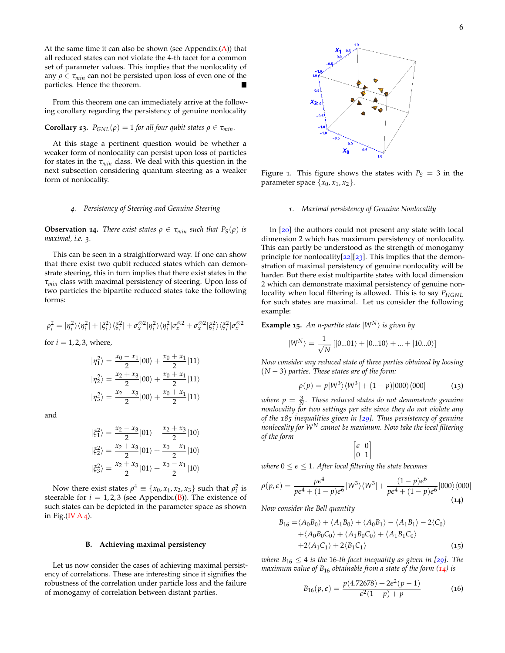At the same time it can also be shown (see Appendix. $(A)$ ) that all reduced states can not violate the 4-th facet for a common set of parameter values. This implies that the nonlocality of any  $\rho \in \tau_{min}$  can not be persisted upon loss of even one of the particles. Hence the theorem particles. Hence the theorem.

From this theorem one can immediately arrive at the following corollary regarding the persistency of genuine nonlocality

# **Corollary 13.**  $P_{GNL}(\rho) = 1$  *for all four qubit states*  $\rho \in \tau_{min}$ *.*

At this stage a pertinent question would be whether a weaker form of nonlocality can persist upon loss of particles for states in the *τmin* class. We deal with this question in the next subsection considering quantum steering as a weaker form of nonlocality.

## *4. Persistency of Steering and Genuine Steering*

**Observation 14.** *There exist states*  $\rho \in \tau_{min}$  *such that*  $P_S(\rho)$  *is maximal, i.e. 3.*

This can be seen in a straightforward way. If one can show that there exist two qubit reduced states which can demonstrate steering, this in turn implies that there exist states in the *τmin* class with maximal persistency of steering. Upon loss of two particles the bipartite reduced states take the following forms:

$$
\rho_i^2=|\eta_i^2\rangle\langle\eta_i^2|+|\xi_i^2\rangle\langle\xi_i^2|+\sigma_x^{\otimes 2}|\eta_i^2\rangle\langle\eta_i^2|\sigma_x^{\otimes 2}+\sigma_x^{\otimes 2}|\xi_i^2\rangle\langle\xi_i^2|\sigma_x^{\otimes 2}
$$

for  $i = 1, 2, 3$ , where,

$$
|\eta_1^2\rangle = \frac{x_0 - x_1}{2} |00\rangle + \frac{x_0 + x_1}{2} |11\rangle
$$
  

$$
|\eta_2^2\rangle = \frac{x_2 + x_3}{2} |00\rangle + \frac{x_0 + x_1}{2} |11\rangle
$$
  

$$
|\eta_3^2\rangle = \frac{x_2 - x_3}{2} |00\rangle + \frac{x_0 + x_1}{2} |11\rangle
$$

and

$$
\begin{aligned}\n|\xi_1^2\rangle &= \frac{x_2 - x_3}{2} |01\rangle + \frac{x_2 + x_3}{2} |10\rangle \\
|\xi_2^2\rangle &= \frac{x_2 + x_3}{2} |01\rangle + \frac{x_0 - x_1}{2} |10\rangle \\
|\xi_3^2\rangle &= \frac{x_2 + x_3}{2} |01\rangle + \frac{x_0 - x_1}{2} |10\rangle\n\end{aligned}
$$

Now there exist states  $\rho^4 \equiv \{x_0, x_1, x_2, x_3\}$  such that  $\rho_i^2$  is steerable for  $i = 1, 2, 3$  (see Appendix.(B)). The existence of such states can be depicted in the parameter space as shown in Fig.(IV  $A_4$ ).

### **B. Achieving maximal persistency**

Let us now consider the cases of achieving maximal persistency of correlations. These are interesting since it signifies the robustness of the correlation under particle loss and the failure of monogamy of correlation between distant parties.



Figure 1. This figure shows the states with  $P<sub>S</sub> = 3$  in the parameter space  $\{x_0, x_1, x_2\}$ .

# *1. Maximal persistency of Genuine Nonlocality*

In [20] the authors could not present any state with local dimension 2 which has maximum persistency of nonlocality. This can partly be understood as the strength of monogamy principle for nonlocality[22][23]. This implies that the demonstration of maximal persistency of genuine nonlocality will be harder. But there exist multipartite states with local dimension 2 which can demonstrate maximal persistency of genuine nonlocality when local filtering is allowed. This is to say *PHGNL* for such states are maximal. Let us consider the following example:

**Example 15.** An n-partite state  $|W^N\rangle$  is given by

$$
|W^N\rangle = \frac{1}{\sqrt{N}}\left[|0...01\rangle + |0...10\rangle + ... + |10...0\rangle\right]
$$

*Now consider any reduced state of three parties obtained by loosing* (*N* − 3) *parties. These states are of the form:*

$$
\rho(p) = p|W^3\rangle\langle W^3| + (1-p)|000\rangle\langle 000|
$$
 (13)

where  $p = \frac{3}{N}$ . These reduced states do not demonstrate genuine *nonlocality for two settings per site since they do not violate any of the 185 inequalities given in [29]. Thus persistency of genuine nonlocality for W<sup>N</sup> cannot be maximum. Now take the local filtering of the form*

$$
\begin{bmatrix} \epsilon & 0 \\ 0 & 1 \end{bmatrix}
$$

*where*  $0 \le \epsilon \le 1$ *. After local filtering the state becomes* 

$$
\rho(p,\epsilon) = \frac{p\epsilon^4}{p\epsilon^4 + (1-p)\epsilon^6} |W^3\rangle\langle W^3| + \frac{(1-p)\epsilon^6}{p\epsilon^4 + (1-p)\epsilon^6} |000\rangle\langle 000|
$$
\n(14)

*Now consider the Bell quantity*

$$
B_{16} = \langle A_0 B_0 \rangle + \langle A_1 B_0 \rangle + \langle A_0 B_1 \rangle - \langle A_1 B_1 \rangle - 2 \langle C_0 \rangle
$$
  
+  $\langle A_0 B_0 C_0 \rangle + \langle A_1 B_0 C_0 \rangle + \langle A_1 B_1 C_0 \rangle$   
+  $2 \langle A_1 C_1 \rangle + 2 \langle B_1 C_1 \rangle$  (15)

*where*  $B_{16} \leq 4$  *is the* 16-th facet inequality as given in [29]. The *maximum value of B*<sup>16</sup> *obtainable from a state of the form (14) is*

$$
B_{16}(p,\epsilon) = \frac{p(4.72678) + 2\epsilon^2(p-1)}{\epsilon^2(1-p) + p}
$$
 (16)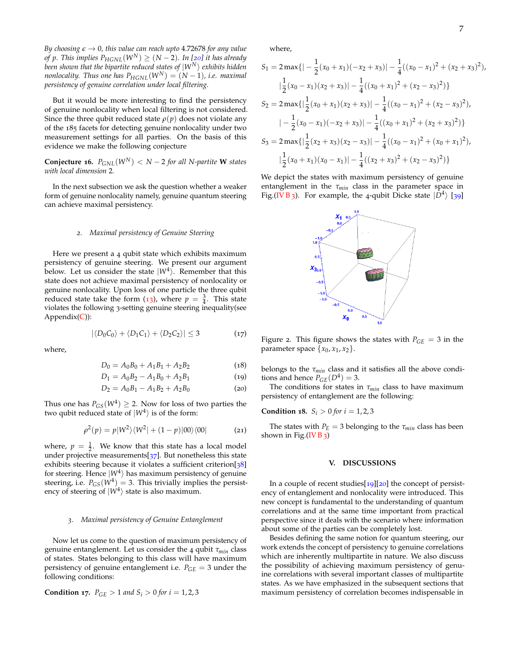*By choosing*  $\epsilon \rightarrow 0$ *, this value can reach upto* 4.72678 *for any value of p*. This implies  $P_{HGNL}(W^N)$  ≥ ( $N-2$ ). In [20] it has already *been shown that the bipartite reduced states of* <sup>|</sup>*WN*<sup>i</sup> *exhibits hidden nonlocality. Thus one has*  $P_{HGNL}(W^N) = (N-1)$ *, i.e. maximal persistency of genuine correlation under local filtering.*

But it would be more interesting to find the persistency of genuine nonlocality when local filtering is not considered. Since the three qubit reduced state  $\rho(p)$  does not violate any of the 185 facets for detecting genuine nonlocality under two measurement settings for all parties. On the basis of this evidence we make the following conjecture

**Conjecture 16.**  $P_{GNL}(W^N) < N - 2$  *for all N-partite* **W** *states with local dimension* 2*.*

In the next subsection we ask the question whether a weaker form of genuine nonlocality namely, genuine quantum steering can achieve maximal persistency.

#### *2. Maximal persistency of Genuine Steering*

Here we present a 4 qubit state which exhibits maximum persistency of genuine steering. We present our argument below. Let us consider the state  $|W^4\rangle$ . Remember that this state does not achieve maximal persistency of nonlocality or genuine nonlocality. Upon loss of one particle the three qubit reduced state take the form (13), where  $p = \frac{3}{4}$ . This state violates the following 3-setting genuine steering inequality(see  $Appendix(C))$ :

$$
|\langle D_0 C_0 \rangle + \langle D_1 C_1 \rangle + \langle D_2 C_2 \rangle| \leq 3 \tag{17}
$$

where,

$$
D_0 = A_0 B_0 + A_1 B_1 + A_2 B_2 \tag{18}
$$

$$
D_1 = A_0 B_2 - A_1 B_0 + A_2 B_1 \tag{19}
$$

$$
D_2 = A_0 B_1 - A_1 B_2 + A_2 B_0 \tag{20}
$$

Thus one has  $P_{GS}(W^4) \geq 2$ . Now for loss of two parties the two qubit reduced state of  $|W^4\rangle$  is of the form:

$$
\rho^{2}(p) = p|W^{2}\rangle\langle W^{2}| + (1-p)|00\rangle\langle 00|
$$
 (21)

where,  $p = \frac{1}{2}$ . We know that this state has a local model under projective measurements $[37]$ . But nonetheless this state exhibits steering because it violates a sufficient criterion[38] for steering. Hence  $|W^4\rangle$  has maximum persistency of genuine steering, i.e.  $P_{GS}(W^4) = 3$ . This trivially implies the persistency of steering of  $|W^4\rangle$  state is also maximum.

#### *3. Maximal persistency of Genuine Entanglement*

Now let us come to the question of maximum persistency of genuine entanglement. Let us consider the 4 qubit *τmin* class of states. States belonging to this class will have maximum persistency of genuine entanglement i.e.  $P_{GE} = 3$  under the following conditions:

**Condition 17.** 
$$
P_{GE} > 1
$$
 and  $S_i > 0$  for  $i = 1, 2, 3$ 

where,

$$
S_1 = 2 \max\{| -\frac{1}{2}(x_0 + x_1)(-x_2 + x_3)| - \frac{1}{4}((x_0 - x_1)^2 + (x_2 + x_3)^2),
$$
  
\n
$$
|\frac{1}{2}(x_0 - x_1)(x_2 + x_3)| - \frac{1}{4}((x_0 + x_1)^2 + (x_2 - x_3)^2)\}
$$
  
\n
$$
S_2 = 2 \max\{| \frac{1}{2}(x_0 + x_1)(x_2 + x_3)| - \frac{1}{4}((x_0 - x_1)^2 + (x_2 - x_3)^2),
$$
  
\n
$$
| -\frac{1}{2}(x_0 - x_1)(-x_2 + x_3)| - \frac{1}{4}((x_0 + x_1)^2 + (x_2 + x_3)^2)\}
$$
  
\n
$$
S_3 = 2 \max\{| \frac{1}{2}(x_2 + x_3)(x_2 - x_3)| - \frac{1}{4}((x_0 - x_1)^2 + (x_0 + x_1)^2),
$$
  
\n
$$
| \frac{1}{2}(x_0 + x_1)(x_0 - x_1)| - \frac{1}{4}((x_2 + x_3)^2 + (x_2 - x_3)^2)\}
$$

We depict the states with maximum persistency of genuine entanglement in the *τmin* class in the parameter space in Fig.(IV B<sub>3</sub>). For example, the 4-qubit Dicke state  $|D^4\rangle$  [39]



Figure 2. This figure shows the states with  $P_{GE} = 3$  in the parameter space  $\{x_0, x_1, x_2\}$ .

belongs to the *τmin* class and it satisfies all the above conditions and hence  $P_{GE}(D^4) = 3$ .

The conditions for states in *τmin* class to have maximum persistency of entanglement are the following:

**Condition 18.**  $S_i > 0$  for  $i = 1, 2, 3$ 

The states with  $P_E = 3$  belonging to the  $\tau_{min}$  class has been shown in Fig.(IV B 3)

#### **V. DISCUSSIONS**

In a couple of recent studies  $\boxed{19}$   $\boxed{20}$  the concept of persistency of entanglement and nonlocality were introduced. This new concept is fundamental to the understanding of quantum correlations and at the same time important from practical perspective since it deals with the scenario where information about some of the parties can be completely lost.

Besides defining the same notion for quantum steering, our work extends the concept of persistency to genuine correlations which are inherently multipartite in nature. We also discuss the possibility of achieving maximum persistency of genuine correlations with several important classes of multipartite states. As we have emphasized in the subsequent sections that maximum persistency of correlation becomes indispensable in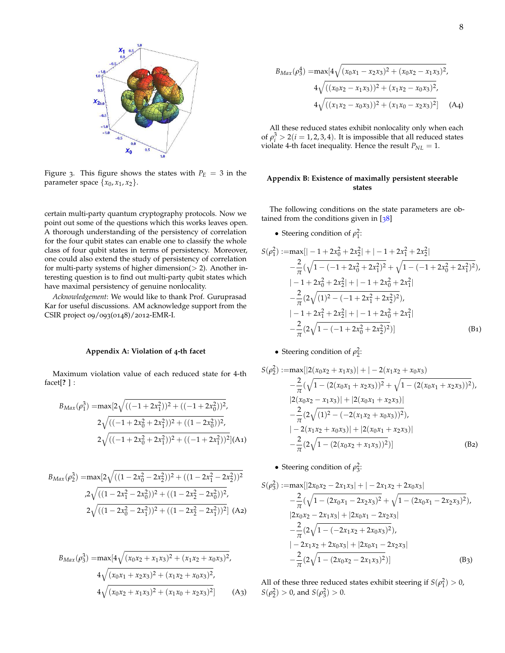

Figure 3. This figure shows the states with  $P_E = 3$  in the parameter space  $\{x_0, x_1, x_2\}$ .

certain multi-party quantum cryptography protocols. Now we point out some of the questions which this works leaves open. A thorough understanding of the persistency of correlation for the four qubit states can enable one to classify the whole class of four qubit states in terms of persistency. Moreover, one could also extend the study of persistency of correlation for multi-party systems of higher dimension( $> 2$ ). Another interesting question is to find out multi-party qubit states which have maximal persistency of genuine nonlocality.

*Acknowledgement*: We would like to thank Prof. Guruprasad Kar for useful discussions. AM acknowledge support from the CSIR project 09/093(0148)/2012-EMR-I.

### **Appendix A: Violation of 4-th facet**

Maximum violation value of each reduced state for 4-th facet[**?** ] :

$$
B_{Max}(\rho_1^3) = \max[2\sqrt{((-1+2x_1^2))^2 + ((-1+2x_0^2))^2},
$$
  
\n
$$
2\sqrt{((-1+2x_0^2+2x_1^2))^2 + ((1-2x_0^2))^2},
$$
  
\n
$$
2\sqrt{((-1+2x_0^2+2x_1^2))^2 + ((-1+2x_1^2))^2}] (A_1)
$$

$$
B_{Max}(\rho_2^3) = \max[2\sqrt{((1-2x_0^2-2x_2^2))^2 + ((1-2x_1^2-2x_2^2))^2}
$$
  
\n
$$
\sqrt{((1-2x_1^2-2x_0^2))^2 + ((1-2x_2^2-2x_0^2))^2},
$$
  
\n
$$
2\sqrt{((1-2x_0^2-2x_1^2))^2 + ((1-2x_2^2-2x_1^2))^2}] (A2)
$$

$$
B_{Max}(\rho_3^3) = \max[4\sqrt{(x_0x_2 + x_1x_3)^2 + (x_1x_2 + x_0x_3)^2},
$$
  
\n
$$
4\sqrt{(x_0x_1 + x_2x_3)^2 + (x_1x_2 + x_0x_3)^2},
$$
  
\n
$$
4\sqrt{(x_0x_2 + x_1x_3)^2 + (x_1x_0 + x_2x_3)^2}]
$$
 (A3)

$$
B_{Max}(\rho_3^4) = \max[4\sqrt{(x_0x_1 - x_2x_3)^2 + (x_0x_2 - x_1x_3)^2},
$$
  
\n
$$
4\sqrt{((x_0x_2 - x_1x_3))^2 + (x_1x_2 - x_0x_3)^2},
$$
  
\n
$$
4\sqrt{((x_1x_2 - x_0x_3))^2 + (x_1x_0 - x_2x_3)^2}] \quad (A4)
$$

All these reduced states exhibit nonlocality only when each of  $\rho_i^3 > 2(i = 1, 2, 3, 4)$ . It is impossible that all reduced states violate 4-th facet inequality. Hence the result  $P_{NL} = 1$ .

## **Appendix B: Existence of maximally persistent steerable states**

The following conditions on the state parameters are obtained from the conditions given in [38]

• Steering condition of  $\rho_1^2$ :

$$
S(\rho_1^2) := \max[|-1 + 2x_0^2 + 2x_2^2| + |-1 + 2x_1^2 + 2x_2^2|
$$
  
\n
$$
- \frac{2}{\pi}(\sqrt{1 - (-1 + 2x_0^2 + 2x_1^2)^2} + \sqrt{1 - (-1 + 2x_0^2 + 2x_1^2)^2}),
$$
  
\n
$$
|-1 + 2x_0^2 + 2x_2^2| + |-1 + 2x_0^2 + 2x_1^2|
$$
  
\n
$$
- \frac{2}{\pi}(2\sqrt{(1)^2 - (-1 + 2x_1^2 + 2x_2^2)^2}),
$$
  
\n
$$
|-1 + 2x_1^2 + 2x_2^2| + |-1 + 2x_0^2 + 2x_1^2|
$$
  
\n
$$
- \frac{2}{\pi}(2\sqrt{1 - (-1 + 2x_0^2 + 2x_2^2)^2})]
$$
 (B1)

• Steering condition of  $\rho_2^2$ :

$$
S(\rho_2^2) := \max[|2(x_0x_2 + x_1x_3)| + |-2(x_1x_2 + x_0x_3)|
$$
  
\n
$$
- \frac{2}{\pi}(\sqrt{1 - (2(x_0x_1 + x_2x_3))^2} + \sqrt{1 - (2(x_0x_1 + x_2x_3))^2}),
$$
  
\n
$$
|2(x_0x_2 - x_1x_3)| + |2(x_0x_1 + x_2x_3)|
$$
  
\n
$$
- \frac{2}{\pi}(2\sqrt{(1)^2 - (-2(x_1x_2 + x_0x_3))^2}),
$$
  
\n
$$
|-2(x_1x_2 + x_0x_3)| + |2(x_0x_1 + x_2x_3)|
$$
  
\n
$$
- \frac{2}{\pi}(2\sqrt{1 - (2(x_0x_2 + x_1x_3))^2})]
$$
 (B2)

• Steering condition of  $\rho_3^2$ :

$$
S(\rho_3^2) := \max[|2x_0x_2 - 2x_1x_3| + |-2x_1x_2 + 2x_0x_3|
$$
  
\n
$$
- \frac{2}{\pi}(\sqrt{1 - (2x_0x_1 - 2x_2x_3)^2} + \sqrt{1 - (2x_0x_1 - 2x_2x_3)^2}),
$$
  
\n
$$
|2x_0x_2 - 2x_1x_3| + |2x_0x_1 - 2x_2x_3|
$$
  
\n
$$
- \frac{2}{\pi}(2\sqrt{1 - (-2x_1x_2 + 2x_0x_3)^2}),
$$
  
\n
$$
|-2x_1x_2 + 2x_0x_3| + |2x_0x_1 - 2x_2x_3|
$$
  
\n
$$
- \frac{2}{\pi}(2\sqrt{1 - (2x_0x_2 - 2x_1x_3)^2})]
$$
 (B3)

All of these three reduced states exhibit steering if  $S(\rho_1^2) > 0$ ,  $S(\rho_2^2) > 0$ , and  $S(\rho_3^2) > 0$ .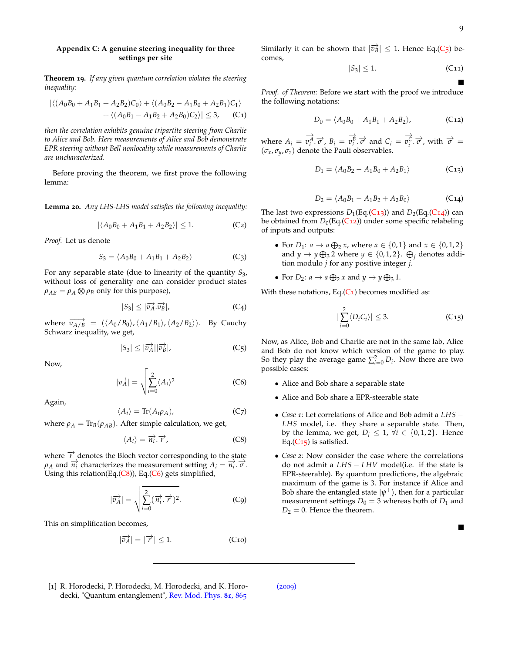## **Appendix C: A genuine steering inequality for three settings per site**

**Theorem 19.** *If any given quantum correlation violates the steering inequality:*

$$
\left| \langle (A_0B_0 + A_1B_1 + A_2B_2)C_0 \rangle + \langle (A_0B_2 - A_1B_0 + A_2B_1)C_1 \rangle \right|
$$
  
+ 
$$
\left| \langle (A_0B_1 - A_1B_2 + A_2B_0)C_2 \rangle \right| \leq 3,
$$
 (C1)

*then the correlation exhibits genuine tripartite steering from Charlie to Alice and Bob. Here measurements of Alice and Bob demonstrate EPR steering without Bell nonlocality while measurements of Charlie are uncharacterized.*

Before proving the theorem, we first prove the following lemma:

**Lemma 20.** *Any LHS-LHS model satisfies the following inequality:*

$$
|\langle A_0 B_0 + A_1 B_1 + A_2 B_2 \rangle| \le 1. \tag{C2}
$$

*Proof.* Let us denote

$$
S_3 = \langle A_0 B_0 + A_1 B_1 + A_2 B_2 \rangle \tag{C_3}
$$

For any separable state (due to linearity of the quantity *S*3, without loss of generality one can consider product states  $\rho_{AB} = \rho_A \otimes \rho_B$  only for this purpose),

$$
|S_3| \le |\overrightarrow{v_A} \cdot \overrightarrow{v_B}|,\tag{C_4}
$$

where  $\overrightarrow{v_{A/B}} = (\langle A_0/B_0 \rangle, \langle A_1/B_1 \rangle, \langle A_2/B_2 \rangle)$ . By Cauchy Schwarz inequality, we get,

$$
|S_3| \le |\overrightarrow{v_A}||\overrightarrow{v_B}|,\tag{C_5}
$$

Now,

$$
|\overrightarrow{v_A}| = \sqrt{\sum_{i=0}^{2} \langle A_i \rangle^2}
$$
 (C6)

Again,

$$
\langle A_i \rangle = \text{Tr}(A_i \rho_A), \tag{C7}
$$

where  $\rho_A = \text{Tr}_B(\rho_{AB})$ . After simple calculation, we get,

$$
\langle A_i \rangle = \overrightarrow{n_i} \cdot \overrightarrow{r}, \qquad (C8)
$$

where  $\overrightarrow{r}$  denotes the Bloch vector corresponding to the state  $\rho_A$  and  $\overrightarrow{n_i}$  characterizes the measurement setting  $A_i = \overrightarrow{n_i} \cdot \overrightarrow{\sigma}$ . Using this relation(Eq.(C8)), Eq.(C6) gets simplified,

$$
\overrightarrow{v_A} = \sqrt{\sum_{i=0}^{2} (\overrightarrow{n_i} \cdot \overrightarrow{r})^2}.
$$
 (C9)

This on simplification becomes,

|

$$
|\overrightarrow{v_A}| = |\overrightarrow{r}| \le 1. \tag{C10}
$$

Similarly it can be shown that  $|\vec{v_B}| \leq 1$ . Hence Eq.(C<sub>5</sub>) becomes,

$$
|S_3| \le 1. \tag{C11}
$$

*Proof. of Theorem*: Before we start with the proof we introduce the following notations:

$$
D_0 = \langle A_0 B_0 + A_1 B_1 + A_2 B_2 \rangle, \tag{C12}
$$

where  $A_i = \overrightarrow{v_i^A} \cdot \overrightarrow{\sigma}$ ,  $B_i = \overrightarrow{v_i^B} \cdot \overrightarrow{\sigma}$  and  $C_i = \overrightarrow{v_i^C} \cdot \overrightarrow{\sigma}$ , with  $\overrightarrow{\sigma} =$  $(\sigma_x, \sigma_y, \sigma_z)$  denote the Pauli observables.

$$
D_1 = \langle A_0 B_2 - A_1 B_0 + A_2 B_1 \rangle \tag{C13}
$$

$$
D_2 = \langle A_0 B_1 - A_1 B_2 + A_2 B_0 \rangle
$$
 (C14)

The last two expressions  $D_1(\text{Eq.}(\text{C13}))$  and  $D_2(\text{Eq.}(\text{C14}))$  can be obtained from *D*<sub>0</sub>(Eq.(C<sub>12</sub>)) under some specific relabeling of inputs and outputs:

- For *D*<sub>1</sub>: *a*  $\rightarrow$  *a*  $\bigoplus_{2}$  *x*, where *a*  $\in \{0, 1\}$  and *x*  $\in \{0, 1, 2\}$ and  $y \to y \bigoplus_3 2$  where  $y \in \{0, 1, 2\}$ .  $\bigoplus_j$  denotes addition modulo *j* for any positive integer *j*.
- For  $D_2$ :  $a \to a \bigoplus_2 x$  and  $y \to y \bigoplus_3 1$ .

With these notations, Eq. $(C_1)$  becomes modified as:

$$
\left|\sum_{i=0}^{2} \langle D_i C_i \rangle\right| \leq 3. \tag{C15}
$$

Now, as Alice, Bob and Charlie are not in the same lab, Alice and Bob do not know which version of the game to play. So they play the average game  $\sum_{i=0}^{2} D_i$ . Now there are two possible cases:

- Alice and Bob share a separable state
- Alice and Bob share a EPR-steerable state
- *Case <sup>1</sup>:* Let correlations of Alice and Bob admit a *LHS* <sup>−</sup> *LHS* model, i.e. they share a separable state. Then, by the lemma, we get,  $D_i \leq 1$ ,  $\forall i \in \{0, 1, 2\}$ . Hence Eq. $(C_{15})$  is satisfied.
- *Case 2:* Now consider the case where the correlations do not admit a *LHS* − *LHV* model(i.e. if the state is EPR-steerable). By quantum predictions, the algebraic maximum of the game is 3. For instance if Alice and Bob share the entangled state  $|\psi^+\rangle$ , then for a particular measurement settings  $D_0 = 3$  whereas both of  $D_1$  and  $D_2 = 0$ . Hence the theorem.

[1] R. Horodecki, P. Horodecki, M. Horodecki, and K. Horodecki, "Quantum entanglement", Rev. Mod. Phys. **81**, 865

(2009)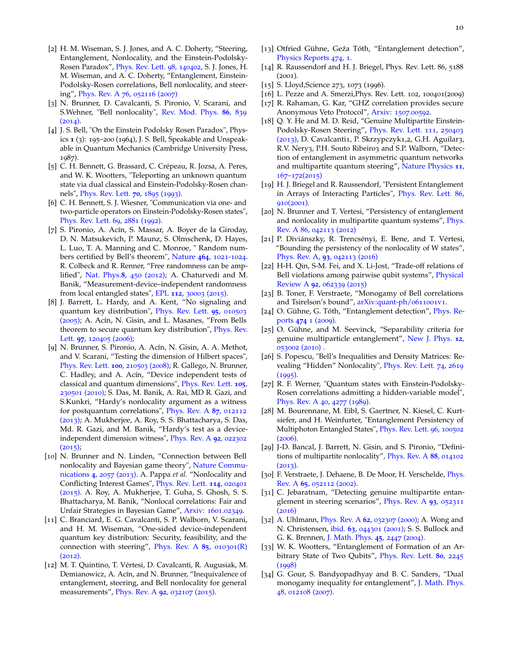- [2] H. M. Wiseman, S. J. Jones, and A. C. Doherty, "Steering, Entanglement, Nonlocality, and the Einstein-Podolsky-Rosen Paradox", Phys. Rev. Lett. 98, 140402, S. J. Jones, H. M. Wiseman, and A. C. Doherty, "Entanglement, Einstein-Podolsky-Rosen correlations, Bell nonlocality, and steering", Phys. Rev. A 76, 052116 (2007)
- [3] N. Brunner, D. Cavalcanti, S. Pironio, V. Scarani, and S.Wehner, "Bell nonlocality", Rev. Mod. Phys. **86**, 839  $(2014).$
- [4] J. S. Bell, "On the Einstein Podolsky Rosen Paradox", Physics **1** (3): 195–200 (1964), J. S. Bell, Speakable and Unspeakable in Quantum Mechanics (Cambridge University Press, 1987).
- [5] C. H. Bennett, G. Brassard, C. Crépeau, R. Jozsa, A. Peres, and W. K. Wootters, "Teleporting an unknown quantum state via dual classical and Einstein-Podolsky-Rosen channels", Phys. Rev. Lett. **70**, 1895 (1993).
- [6] C. H. Bennett, S. J. Wiesner, "Communication via one- and two-particle operators on Einstein-Podolsky-Rosen states", Phys. Rev. Lett. 69, 2881 (1992).
- [7] S. Pironio, A. Acín, S. Massar, A. Boyer de la Giroday, D. N. Matsukevich, P. Maunz, S. Olmschenk, D. Hayes, L. Luo, T. A. Manning and C. Monroe, " Random numbers certified by Bell's theorem", Nature **464**, 1021-1024. R. Colbeck and R. Renner, "Free randomness can be amplified", Nat. Phys.**8**, 450 (2012); A. Chaturvedi and M. Banik, "Measurement-device–independent randomness from local entangled states", EPL **112**, 30003 (2015).
- [8] J. Barrett, L. Hardy, and A. Kent, "No signaling and quantum key distribution", Phys. Rev. Lett. **95**, 010503 (2005); A. Acín, N. Gisin, and L. Masanes, "From Bells theorem to secure quantum key distribution", Phys. Rev. Lett. **97**, 120405 (2006);
- [9] N. Brunner, S. Pironio, A. Acín, N. Gisin, A. A. Methot, and V. Scarani, "Testing the dimension of Hilbert spaces", Phys. Rev. Lett. **100**, 210503 (2008); R. Gallego, N. Brunner, C. Hadley, and A. Acín, "Device independent tests of classical and quantum dimensions", Phys. Rev. Lett. **105**, 230501 (2010); S. Das, M. Banik, A. Rai, MD R. Gazi, and S.Kunkri, "Hardy's nonlocality argument as a witness for postquantum correlations", Phys. Rev. A **87**, 012112 (2013); A. Mukherjee, A. Roy, S. S. Bhattacharya, S. Das, Md. R. Gazi, and M. Banik, "Hardy's test as a deviceindependent dimension witness", Phys. Rev. A **92**, 022302  $(2015);$
- [10] N. Brunner and N. Linden, "Connection between Bell nonlocality and Bayesian game theory", Nature Communications **4**, 2057 (2013). A. Pappa *et al.* "Nonlocality and Conflicting Interest Games", Phys. Rev. Lett. **114**, 020401 (2015). A. Roy, A. Mukherjee, T. Guha, S. Ghosh, S. S. Bhattacharya, M. Banik, "Nonlocal correlations: Fair and Unfair Strategies in Bayesian Game", Arxiv: 1601.02349.
- [11] C. Branciard, E. G. Cavalcanti, S. P. Walborn, V. Scarani, and H. M. Wiseman, "One-sided device-independent quantum key distribution: Security, feasibility, and the connection with steering", Phys. Rev. A **85**, 010301(R) (2012).
- [12] M. T. Quintino, T. Vértesi, D. Cavalcanti, R. Augusiak, M. Demianowicz, A. Acín, and N. Brunner, "Inequivalence of entanglement, steering, and Bell nonlocality for general measurements", Phys. Rev. A **92**, 032107 (2015).
- [13] Otfried Gühne, Geźa Tóth, "Entanglement detection", Physics Reports 474, 1.
- [14] R. Raussendorf and H. J. Briegel, Phys. Rev. Lett. 86, 5188 (2001).
- [15] S. Lloyd, Science 273, 1073 (1996).
- [16] L. Pezze and A. Smerzi, Phys. Rev. Lett. 102, 100401(2009)
- [17] R. Rahaman, G. Kar, "GHZ correlation provides secure Anonymous Veto Protocol", Arxiv: 1507.00592.
- [18] Q. Y. He and M. D. Reid, "Genuine Multipartite Einstein-Podolsky-Rosen Steering", Phys. Rev. Lett. 111, 250403 (2013), D. Cavalcanti1, P. Skrzypczyk1,2, G.H. Aguilar3, R.V. Nery3, P.H. Souto Ribeiro3 and S.P. Walborn, "Detection of entanglement in asymmetric quantum networks and multipartite quantum steering", Nature Physics **11**, 167–172(2015)
- [19] H. J. Briegel and R. Raussendorf, "Persistent Entanglement in Arrays of Interacting Particles", Phys. Rev. Lett. 86,  $910(2001)$ .
- [20] N. Brunner and T. Vertesi, "Persistency of entanglement and nonlocality in multipartite quantum systems", Phys. Rev. A 86, 042113 (2012)
- [21] P. Diviánszky, R. Trencsényi, E. Bene, and T. Vértesi, "Bounding the persistency of the nonlocality of W states", Phys. Rev. A, **93**, 042113 (2016)
- [22] H-H. Qin, S-M. Fei, and X. Li-Jost, "Trade-off relations of Bell violations among pairwise qubit systems", Physical Review A **92**, 062339 (2015)
- [23] B. Toner, F. Verstraete, "Monogamy of Bell correlations and Tsirelson's bound", arXiv:quant-ph/0611001v1.
- [24] O. Gühne, G. Tóth, "Entanglement detection", Phys. Reports **474** 1 (2009).
- [25] O. Gühne, and M. Seevinck, "Separability criteria for genuine multiparticle entanglement", New J. Phys. **12**, 053002 (2010) .
- [26] S. Popescu, "Bell's Inequalities and Density Matrices: Revealing "Hidden" Nonlocality", Phys. Rev. Lett. 74, 2619  $(1995).$
- [27] R. F. Werner, "Quantum states with Einstein-Podolsky-Rosen correlations admitting a hidden-variable model", Phys. Rev. A 40, 4277 (1989).
- [28] M. Bourennane, M. Eibl, S. Gaertner, N. Kiesel, C. Kurtsiefer, and H. Weinfurter, "Entanglement Persistency of Multiphoton Entangled States", Phys. Rev. Lett. 96, 100502 (2006).
- [29] J-D. Bancal, J. Barrett, N. Gisin, and S. Pironio, "Definitions of multipartite nonlocality", Phys. Rev. A **88**, 014102  $(2013).$
- [30] F. Verstraete, J. Dehaene, B. De Moor, H. Verschelde, *Phys.* Rev. A **65**, 052112 (2002).
- [31] C. Jebaratnam, "Detecting genuine multipartite entanglement in steering scenarios", Phys. Rev. A **93**, 052311 (2016)
- [32] A. Uhlmann, Phys. Rev. A **62**, 032307 (2000); A. Wong and N. Christensen, ibid. **63**, 044301 (2001); S. S. Bullock and G. K. Brennen, J. Math. Phys. **45**, 2447 (2004).
- [33] W. K. Wootters, "Entanglement of Formation of an Arbitrary State of Two Qubits", Phys. Rev. Lett. **80**, 2245 (1998)
- [34] G. Gour, S. Bandyopadhyay and B. C. Sanders, "Dual monogamy inequality for entanglement", J. Math. Phys. 48, 012108 (2007).